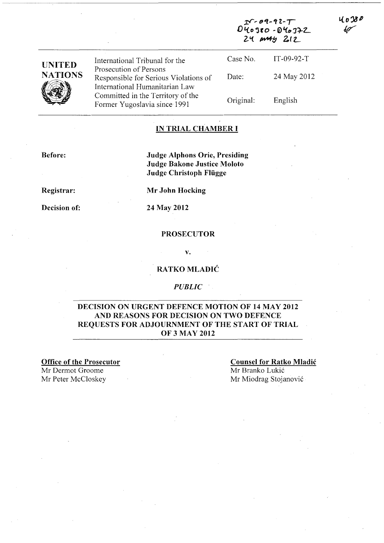| <b>UNITED</b><br><b>NATIONS</b> | International Tribunal for the                                                                    | $040380 - 040372$<br>24 MAY 212 |              |  |
|---------------------------------|---------------------------------------------------------------------------------------------------|---------------------------------|--------------|--|
|                                 |                                                                                                   | Case No.                        | $IT-09-92-T$ |  |
|                                 | Prosecution of Persons<br>Responsible for Serious Violations of<br>International Humanitarian Law | Date:                           | 24 May 2012  |  |
|                                 | Committed in the Territory of the<br>Former Yugoslavia since 1991                                 | Original:                       | English      |  |

### IN TRIAL CHAMBER **I**

Before:

Judge Alphons Orie, Presiding Judge Bakone Justice Moloto Judge Christoph Fliigge

Registrar:

Decision of: 24 May 2012

Mr John Hocking

#### PROSECUTOR

v.

### RATKO MLADIĆ

#### *PUBLIC*

### DECISION ON URGENT DEFENCE MOTION OF 14 MAY 2012 AND REASONS FOR DECISION ON TWO DEFENCE REQUESTS FOR ADJOURNMENT OF THE START OF TRIAL OF 3 MAY 2012

Office of the Prosecutor Mr Dermot Groome Mr Peter McCloskey

Counsel for Ratko Mladic Mr Branko Lukić Mr Miodrag Stojanovic

 $\sim$  09-92- $\mathcal{T}$ 

l o 38 P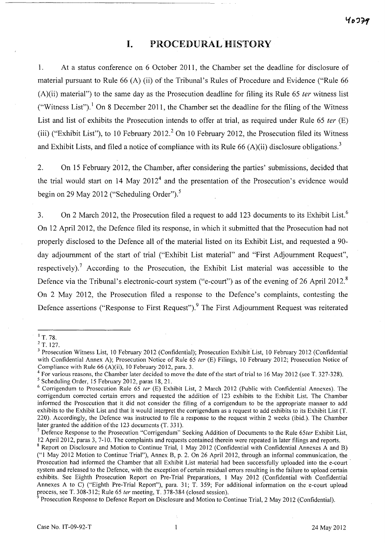# **I.** PROCEDURAL HISTORY

1. At a status conference on 6 October 2011, the Chamber set the deadline for disclosure of material pursuant to Rule 66 (A) (ii) of the Tribunal's Rules of Procedure and Evidence ("Rule 66  $(A)(ii)$  material") to the same day as the Prosecution deadline for filing its Rule 65 *ter* witness list ("Witness List").<sup>1</sup> On 8 December 2011, the Chamber set the deadline for the filing of the Witness List and list of exhibits the Prosecution intends to offer at trial, as required under Rule 65 ter (E) (iii) ("Exhibit List"), to 10 February 2012.<sup>2</sup> On 10 February 2012, the Prosecution filed its Witness and Exhibit Lists, and filed a notice of compliance with its Rule 66 (A)(ii) disclosure obligations.<sup>3</sup>

2. On 15 February 2012, the Chamber, after considering the parties' submissions, decided that the trial would start on  $14$  May  $2012<sup>4</sup>$  and the presentation of the Prosecution's evidence would begin on 29 May 2012 ("Scheduling Order").<sup>5</sup>

3. On 2 March 2012, the Prosecution filed a request to add 123 documents to its Exhibit List.<sup>6</sup> On 12 April 2012, the Defence filed its response, in which it submitted that the Prosecution had not properly disclosed to the Defence all of the material listed on its Exhibit List, and requested a 90 day adjournment of the start of trial ("Exhibit List material" and "First Adjournment Request", respectively).<sup>7</sup> According to the Prosecution, the Exhibit List material was accessible to the Defence via the Tribunal's electronic-court system ("e-court") as of the evening of 26 April 2012.<sup>8</sup> On 2 May 2012, the Prosecution filed a response to the Defence's complaints, contesting the Defence assertions ("Response to First Request").<sup>9</sup> The First Adjournment Request was reiterated

 $1$  T. 78.

<sup>2</sup> T. 127.

<sup>&</sup>lt;sup>3</sup> Prosecution Witness List, 10 February 2012 (Confidential); Prosecution Exhibit List, 10 February 2012 (Confidential with Confidential Annex A); Prosecution Notice of Rule 65 ter (E) Filings, 10 February 2012; Prosecution Notice of Compliance with Rule 66 (A)(ii), 10 February 2012, para. 3.

 $4$  For various reasons, the Chamber later decided to move the date of the start of trial to 16 May 2012 (see T. 327-328).

<sup>5</sup> Scheduling Order, 15 February 2012, paras 18,21.

 $6$  Corrigendum to Prosecution Rule 65 ter (E) Exhibit List, 2 March 2012 (Public with Confidential Annexes). The corrigendum corrected certain errors and requested the addition of 123 exhibits to the Exhibit List. The Chamber informed the Prosecution that it did not consider the filing of a corrigendum to be the appropriate manner to add exhibits to the Exhibit List and that it would interpret the corrigendum as a request to add exhibits to its Exhibit List (T. 220). Accordingly, the Defence was instructed to file a response to the request within 2 weeks (ibid.). The Chamber later granted the addition of the 123 documents (T. 331).

 $<sup>7</sup>$  Defence Response to the Prosecution "Corrigendum" Seeking Addition of Documents to the Rule 65ter Exhibit List,</sup> 12 April 2012, paras 3, 7-10. The complaints and requests contained therein were repeated in later filings and reports.

<sup>8</sup> Report on Disclosure and Motion to Continue Trial, 1 May 2012 (Confidential with Confidential Annexes A and B) ("1 May 2012 Motion to Continue Trial"), Annex B, p. 2. On 26 April 2012, through an informal communication, the Prosecution had informed the Chamber that all Exhibit List material had been successfully uploaded into the e-court system and released to the Defence, with the exception of certain residual errors resulting in the failure to upload certain exhibits. See Eighth Prosecution Report on Pre-Trial Preparations, 1 May 2012 (Confidential with Confidential Annexes A to C) ("Eighth Pre-Trial Report"), para. 31; T. 359; For additional information on the e-court upload process, see T. 308-312; Rule 65 ter meeting, T. 378-384 (closed session).

Prosecution Response to Defence Report on Disclosure and Motion to Continue Trial, 2 May 2012 (Confidential).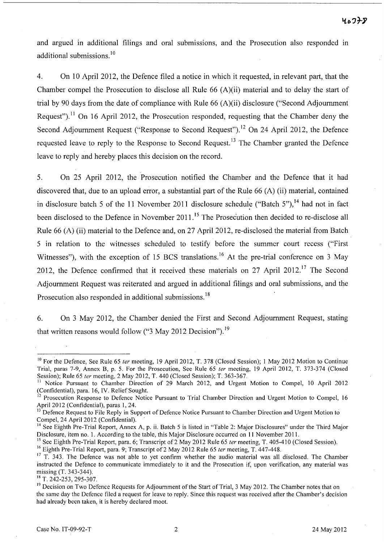and argued in additional filings and oral submissions, and the Prosecution also responded in additional submissions.<sup>10</sup>

4. On 10 April 2012, the Defence filed a notice in which it requested, in relevant part, that the Chamber compel the Prosecution to disclose all Rule 66 (A)(ii) material and to delay the start of trial by 90 days from the date of compliance with Rule 66 (A)(ii) disclosure ("Second Adjournment Request").<sup>11</sup> On 16 April 2012, the Prosecution responded, requesting that the Chamber deny the Second Adjournment Request ("Response to Second Request").<sup>12</sup> On 24 April 2012, the Defence requested leave to reply to the Response to Second Request.<sup>13</sup> The Chamber granted the Defence leave to reply and hereby places this decision on the record.

5. On 25 April 2012, the Prosecution notified the Chamber and the Defence that it had discovered that, due to an upload error, a substantial part of the Rule 66 (A) (ii) material, contained in disclosure batch 5 of the 11 November 2011 disclosure schedule ("Batch 5"),<sup>14</sup> had not in fact been disclosed to the Defence in November 2011.<sup>15</sup> The Prosecution then decided to re-disclose all Rule 66 (A) (ii) material to the Defence and, on 27 April 2012, re-disclosed the material from Batch 5 in relation to the witnesses scheduled to testify before the summer court recess ("First Witnesses"), with the exception of 15 BCS translations.<sup>16</sup> At the pre-trial conference on 3 May 2012, the Defence confirmed that it received these materials on 27 April 2012.<sup>17</sup> The Second Adjournment Request was reiterated and argued in additional filings and oral submissions, and the Prosecution also responded in additional submissions.<sup>18</sup>

6. On 3 May 2012, the Chamber denied the First and Second Adjournment Request, stating that written reasons would follow (" $3$  May 2012 Decision").<sup>19</sup>

<sup>16</sup> Eighth Pre-Trial Report, para. 9; Transcript of 2 May 2012 Rule 65 ter meeting, T. 447-448.

<sup>&</sup>lt;sup>10</sup> For the Defence, See Rule 65 ter meeting, 19 April 2012, T. 378 (Closed Session); 1 May 2012 Motion to Continue Trial, paras 7-9, Annex B, p. 5. For the Prosecution, See Rule 65 fer meeting, 19 April 2012, T. 373-374 (Closed Session); Rule 65 fer meeting, 2 May 2012, T. 440 (Closed Session); T. 363-367.

<sup>&</sup>lt;sup>11</sup> Notice Pursuant to Chamber Direction of 29 March 2012, and Urgent Motion to Compel, 10 April 2012 (Confidential), para. 16, IV. Relief Sought.

<sup>&</sup>lt;sup>12</sup> Prosecution Response to Defence Notice Pursuant to Trial Chamber Direction and Urgent Motion to Compel, 16 April 2012 (Confidential), paras 1, 24.

Defence Request to File Reply in Support of Defence Notice Pursuant to Chamber Direction and Urgent Motion to Compel, 24 April 2012 (Confidential).

<sup>&</sup>lt;sup>14</sup> See Eighth Pre-Trial Report, Annex A, p. ii. Batch 5 is listed in "Table 2: Major Disclosures" under the Third Major Disclosure, item no. I. According to the table, this Major Disclosure occurred on 11 November 2011.

<sup>&</sup>lt;sup>15</sup> See Eighth Pre-Trial Report, para. 6; Transcript of 2 May 2012 Rule 65 ter meeting, T. 405-410 (Closed Session).

<sup>&</sup>lt;sup>17</sup> T. 343. The Defence was not able to yet confirm whether the audio material was all disclosed. The Chamber instructed the Defence to communicate immediately to it and the Prosecution if, upon verification, any material was missing (T. 343-344).

<sup>&</sup>lt;sup>18</sup> T. 242-253, 295-307.

<sup>&</sup>lt;sup>19</sup> Decision on Two Defence Requests for Adjournment of the Start of Trial, 3 May 2012. The Chamber notes that on the same day the Defence filed a request for leave to reply. Since this request was received after the Chamber's decision had already been taken, it is hereby declared moot.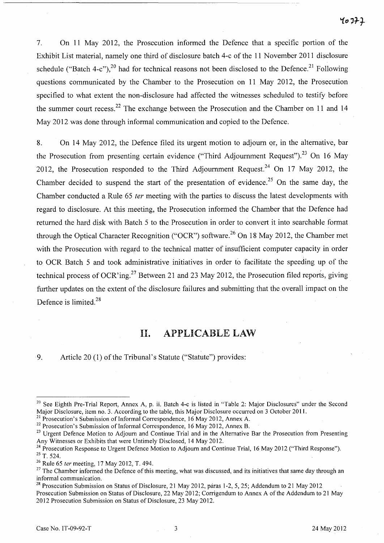7. On 11 May 2012, the Prosecution informed the Defence that a specific portion of the Exhibit List material, namely one third of disclosure batch 4-c of the 11 November 2011 disclosure schedule ("Batch 4-c"),<sup>20</sup> had for technical reasons not been disclosed to the Defence.<sup>21</sup> Following questions communicated by the Chamber to the Prosecution on 11 May 2012, the Prosecution specified to what extent the non-disclosure had affected the witnesses scheduled to testify before the summer court recess.<sup>22</sup> The exchange between the Prosecution and the Chamber on 11 and 14 May 2012 was done through informal communication and copied to the Defence.

8. On 14 May 2012, the Defence filed its urgent motion to adjourn or, in the alternative, bar the Prosecution from presenting certain evidence ("Third Adjournment Request").<sup>23</sup> On 16 May 2012, the Prosecution responded to the Third Adjournment Request.<sup>24</sup> On 17 May 2012, the Chamber decided to suspend the start of the presentation of evidence.<sup>25</sup> On the same day, the Chamber conducted a Rule 65 fer meeting with the parties to discuss the latest developments with regard to disclosure. At this meeting, the Prosecution informed the Chamber that the Defence had returned the hard disk with Batch 5 to the Prosecution in order to convert it into searchable format through the Optical Character Recognition ("OCR") software.<sup>26</sup> On 18 May 2012, the Chamber met with the Prosecution with regard to the technical matter of insufficient computer capacity in order to OCR Batch 5 and took administrative initiatives in order to facilitate the speeding up of the technical process of OCR'ing.<sup>27</sup> Between 21 and 23 May 2012, the Prosecution filed reports, giving further updates on the extent of the disclosure failures and submitting that the overall impact on the Defence is limited.<sup>28</sup>

## **II.** APPLICABLE LAW

9. Article 20 (1) of the Tribunal's Statute ("Statute") provides:

<sup>&</sup>lt;sup>20</sup> See Eighth Pre-Trial Report, Annex A, p. ii. Batch 4-c is listed in "Table 2: Major Disclosures" under the Second Major Disclosure, item no. 3. According to the table, this Major Disclosure occurred on 3 October 2011.

 $^{21}$  Prosecution's Submission of Informal Correspondence, 16 May 2012, Annex A.

 $22$  Prosecution's Submission of Informal Correspondence, 16 May 2012, Annex B.

<sup>&</sup>lt;sup>23</sup> Urgent Defence Motion to Adjourn and Continue Trial and in the Alternative Bar the Prosecution from Presenting Any Witnesses or Exhibits that were Untimely Disclosed, 14 May 2012.

<sup>&</sup>lt;sup>24</sup> Prosecution Response to Urgent Defence Motion to Adjourn and Continue Trial, 16 May 2012 ("Third Response").

<sup>25</sup> T. 524.

<sup>&</sup>lt;sup>26</sup> Rule 65 ter meeting, 17 May 2012, T. 494.

<sup>&</sup>lt;sup>27</sup> The Chamber informed the Defence of this meeting, what was discussed, and its initiatives that same day through an informal communication.

<sup>&</sup>lt;sup>28</sup> Prosecution Submission on Status of Disclosure, 21 May 2012, paras 1-2, 5, 25; Addendum to 21 May 2012 Prosecution Submission on Status of Disclosure, 22 May 2012; Corrigendum to Annex A of the Addendum to 21 May 2012 Prosecution Submission on Status of Disclosure, 23 May 2012.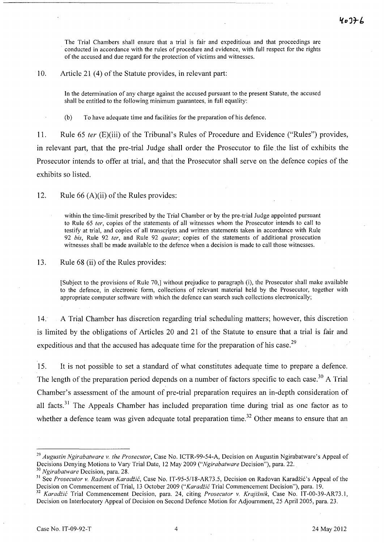The Trial Chambers shall ensure that a trial is fair and expeditious and that proceedings are conducted in accordance with the rules of procedure and evidence, with full respect for the rights of the accused and due regard for the protection of victims and witnesses.

#### 10. Article 21 (4) of the Statute provides, in relevant part:

In the determination of any charge against the accused pursuant to the present Statute, the accused shall be entitled to the following minimum guarantees, in full equality:

(b) To have adequate time and facilities for the preparation of his defence.

11. Rule 65 ter (E)(iii) of the Tribunal's Rules of Procedure and Evidence ("Rules") provides, in relevant part, that the pre-trial Judge shall order the Prosecutor to file. the list of exhibits the Prosecutor intends to offer at trial, and that the Prosecutor shall serve on the defence copies of the exhibits so listed.

12. Rule 66 (A)(ii) of the Rules provides:

within the time-limit prescribed by the Trial Chamber or by the pre-trial Judge appointed pursuant to Rule 65 *ter,* copies of the statements of all witnesses whom the Prosecutor intends to call to testify at trial, and copies of all transcripts and written statements taken in accordance with Rule *92 bis,* Rule 92 *ter,* and Rule 92 *quater;* copies of the statements of additional prosecution witnesses shall be made available to the defence when a decision is made to call those witnesses.

13. Rule 68 (ii) of the Rules provides:

[Subject to the provisions of Rule 70,] without prejudice to paragraph (i), the Prosecutor shall make available to the defence, in electronic form, collections of relevant material held by the Prosecutor, together with appropriate computer software with which the defence can search such collections electronically;

14. A Trial Chamber has discretion regarding trial scheduling matters; however, this discretion is limited by the obligations of Articles 20 and 21 of the Statute to ensure that a trial is fair and expeditious and that the accused has adequate time for the preparation of his case.<sup>29</sup>

15. It is not possible to set a standard of what constitutes adequate time to prepare a defence. <sup>I</sup> The length of the preparation period depends on a number of factors specific to each case.<sup>30</sup> A Trial Chamber's assessment of the amount of pre-trial preparation requires an in-depth consideration of all facts.<sup>31</sup> The Appeals Chamber has included preparation time during trial as one factor as to whether a defence team was given adequate total preparation time.<sup>32</sup> Other means to ensure that an

*<sup>29</sup> Augustin Ngirabatware v. the Prosecutor,* Case No. ICTR-99-54-A, Decision on Augustin Ngirabatware's Appeal of Decisions Denying Motions to Vary Trial Date, 12 May 2009 *("Ngirabatware* Decision"), para. 22.

*<sup>30</sup> Ngirabatware* Decision, para. 28.

<sup>&</sup>lt;sup>31</sup> See *Prosecutor v. Radovan Karadžić*, Case No. IT-95-5/18-AR73.5, Decision on Radovan Karadžić's Appeal of the Decision on Commencement of Trial, 13 October 2009 *("Karadiic* Trial Commencement Decision"), para. 19.

*<sup>32</sup> Karadiic* Trial Commencement Decision, para. 24, citing *Prosecutor v. Krajisnik,* Case No. IT-00-39-AR73.1, Decision on Interlocutory Appeal of Decision on Second Defence Motion for Adjournment, 25 April 2005, para. 23.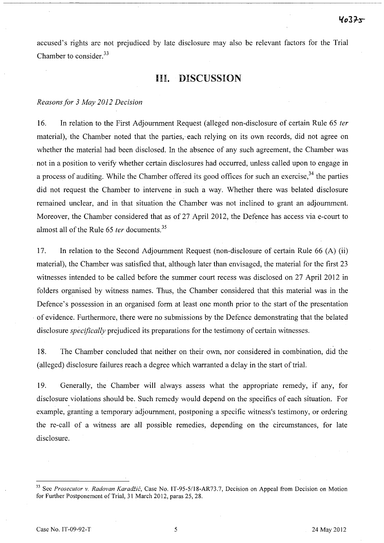accused's rights are not prejudiced by late disclosure may also be relevant factors for the Trial Chamber to consider.<sup>33</sup>

### III. DISCUSSION

### *Reasons for* 3 *May 2012 Decision*

16. In relation to the First Adjournment Request (alleged non-disclosure of certain Rule 65 *ter* material), the Chamber noted that the parties, each relying on its own records, did not agree on whether the material had been disclosed. In the absence of any such agreement, the Chamber was not in a position to verify whether certain disclosures had occurred, unless called upon to engage in a process of auditing. While the Chamber offered its good offices for such an exercise,  $34$  the parties did not request the Chamber to intervene in such a way. Whether there was belated disclosure remained unclear, and in that situation the Chamber was not inclined to grant an adjournment. Moreover, the Chamber considered that as of 27 April 2012, the Defence has access via e-court to almost all of the Rule 65 *ter* documents.<sup>35</sup>

17. In relation to the Second Adjournment Request (non-disclosure of certain Rule 66 (A) (ii) material), the Chamber was satisfied that, although later than envisaged, the material for the first 23 witnesses intended to be called before the summer court recess was disclosed on 27 April 2012 in folders organised by witness names. Thus, the Chamber considered that this material was in the Defence's possession in an organised form at least one month prior to the start of the presentation . of evidence. Furthermore, there were no submissions by the Defence demonstrating that the belated disclosure *specifically* prejudiced its preparations for the testimony of certain witnesses.

18. The Chamber concluded that neither on their own, nor considered in combination, did the (alleged) disclosure failures reach a degree which warranted a delay in the start of trial.

19. Generally, the Chamber will always assess what the appropriate remedy, if any, for disclosure violations should be. Such remedy would depend on the specifics of each situation. For example, granting a temporary adjournment, postponing a specific witness's testimony, or ordering the re-call of a witness are all possible remedies, depending on the circumstances, for late disclosure.

<sup>&</sup>lt;sup>33</sup> See *Prosecutor v. Radovan Karadžić*, Case No. IT-95-5/18-AR73.7, Decision on Appeal from Decision on Motion for Further Postponement of Trial, 31 March 2012, paras 25, 28.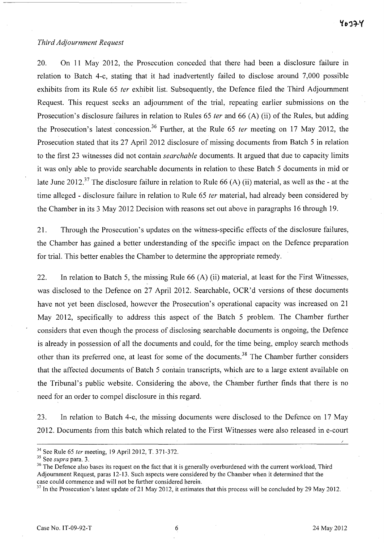#### *Third Adjournment Request*

20. On 11 May 2012, the Prosecution conceded that there had been a disclosure failure in relation to Batch 4-c, stating that it had inadvertently failed to disclose around 7,000 possible exhibits from its Rule 65 *ter* exhibit list. Subsequently, the Defence filed the Third Adjournment Request. This request seeks an adjournment of the trial, repeating earlier submissions on the Prosecution's disclosure failures in relation to Rules 65 *ter* and 66 (A) (ii) of the Rules, but adding the Prosecution's latest concession?6 Further, at the Rule 65 *ter* meeting on 17 May 2012, the Prosecution stated that its 27 April 2012 disclosure of missing documents from Batch 5 in relation to the first 23 witnesses did not contain *searchable* documents. It argued that due to capacity limits it was only able to provide searchable documents in relation to these Batch 5 documents in mid or late June 2012.<sup>37</sup> The disclosure failure in relation to Rule 66 (A) (ii) material, as well as the - at the time alleged - disclosure failure in relation to Rule 65 *fer* material, had already been considered by the Chamber in its 3 May 2012 Decision with reasons set out above in paragraphs 16 through 19.

21. Through the Prosecution's updates on the witness-specific effects of the disclosure failures, the Chamber has gained a better understanding of the specific impact on the Defence preparation for trial. This better enables the Chamber to determine the appropriate remedy.

22. In relation to Batch 5, the missing Rule 66 (A) (ii) material, at least for the First Witnesses, was disclosed to the Defence on 27 April 2012. Searchable, OCR'd versions of these documents have not yet been disclosed, however the Prosecution's operational capacity was increased on 21 May 2012, specifically to address this aspect of the Batch 5 problem. The Chamber further considers that even though the process of disclosing searchable documents is ongoing, the Defence is already in possession of all the documents and could, for the time being, employ search methods other than its preferred one, at least for some of the documents.<sup>38</sup> The Chamber further considers that the affected documents of Batch 5 contain transcripts, which are to a large extent available on the Tribunal's public website. Considering the above, the Chamber further finds that there is no need for an order to compel disclosure in this regard.

23. In relation to Batch 4-c, the missing documents were disclosed to the Defence· on 17 May 2012. Documents from this batch which related to the First Witnesses were also released in e-court

 $34$  See Rule 65 *ter* meeting, 19 April 2012, T. 371-372.

<sup>35</sup> See *supra* para. 3.

<sup>&</sup>lt;sup>36</sup> The Defence also bases its request on the fact that it is generally overburdened with the current workload, Third Adjournment Request, paras 12-13. Such aspects were considered by the Chamber when it determined that the case could commence and will not be further considered herein.

 $37$  In the Prosecution's latest update of 21 May 2012, it estimates that this process will be concluded by 29 May 2012.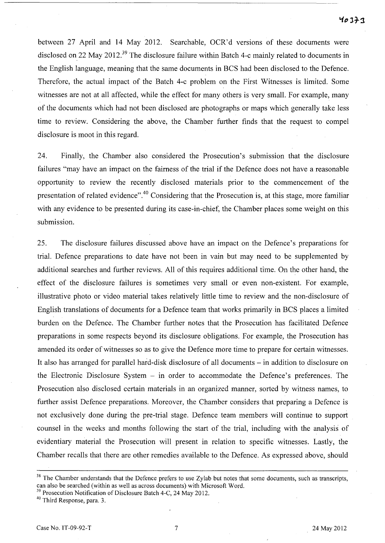between 27 April and 14 May 2012. Searchable, OCR'd versions of these documents were disclosed on 22 May 2012.<sup>39</sup> The disclosure failure within Batch 4-c mainly related to documents in the English language, meaning that the same documents in BCS had been disclosed to the Defence. Therefore, the actual impact of the Batch 4-c problem on the First Witnesses is limited. Some witnesses are not at all affected, while the effect for many others is very small. For example, many of the documents which had not been disclosed are photographs or maps which generally take less time to review. Considering the above, the Chamber further finds that the request to compel disclosure is moot in this regard.

24. Finally, the Chamber also considered the Prosecution's submission that the disclosure failures "may have an impact on the fairness of the trial if the Defence does not have a reasonable opportunity to review the recently disclosed materials prior to the commencement of the presentation of related evidence".4o Considering that the Prosecution is, at this stage, more familiar with any evidence to be presented during its case-in-chief, the Chamber places some weight on this submission.

25. The disclosure failures discussed above have an impact on the Defence's preparations for trial. Defence preparations to date have not been in vain but may need to be supplemented by additional searches and further reviews. All of this requires additional time. On the other hand, the effect of the disclosure failures is sometimes very small or even non-existent. For example, illustrative photo or video material takes relatively little time to review and the non-disclosure of English translations of documents for a Defence team that works primarily in BCS places a limited burden on the Defence. The Chamber further notes that the Prosecution has facilitated Defence preparations in some respects beyond its disclosure obligations. For example, the Prosecution has amended its order of witnesses so as to give the Defence more time to prepare for certain witnesses. It also has arranged for parallel hard-disk disclosure of all documents – in addition to disclosure on the Electronic Disclosure System - in order to accommodate the Defence's preferences. The Prosecution also disclosed certain materials in an organized manner, sorted by witness names, to further assist Defence preparations. Moreover, the Chamber considers that preparing a Defence is not exclusively done during the pre-trial stage. Defence team members will continue to support counsel in the weeks and months following the start of the trial, including with the analysis of evidentiary material the Prosecution will present in relation to specific witnesses. Lastly, the Chamber recalls that there are other remedies available to the Defence. As expressed above, should

 $38$  The Chamber understands that the Defence prefers to use Zylab but notes that some documents, such as transcripts, can also be searched (within as well as across documents) with Microsoft Word.

<sup>&</sup>lt;sup>39</sup> Prosecution Notification of Disclosure Batch 4-C, 24 May 2012.

<sup>40</sup> Third Response, para. 3.